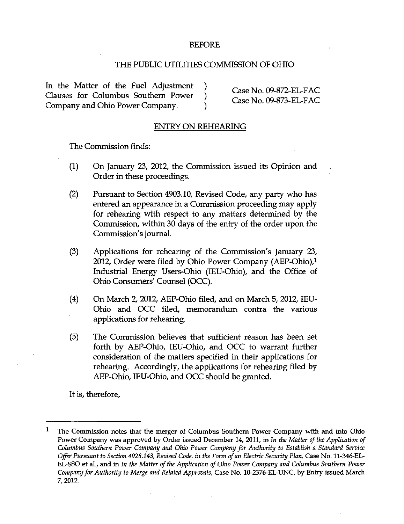## BEFORE

## THE PUBLIC UTILITIES COMMISSION OF OHIO

In the Matter of the Fuel Adjustment )  $\qquad \qquad$  Case No. 09-872-EL-FAC Clauses for Columbus Southern Power )  $\frac{C}{2}$  Case No. 09-873-EL-FAC Company and Ohio Power Company. )

## ENTRY ON REHEARING

The Commission finds:

- (1) On January 23, 2012, the Commission issued its Opinion and Order in these proceedings.
- (2) Pursuant to Section 4903.10, Revised Code, any party who has entered an appearance in a Commission proceeding may apply for rehearing with respect to any matters determined by the Commission, within 30 days of the entry of the order upon the Commission's journal.
- (3) Applications for rehearing of the Commission's January 23, 2012, Order were filed by Ohio Power Company (AEP-Ohio), $1$ Industrial Energy Users-Ohio (lEU-Ohio), and the Office of Ohio Consumers' Counsel (OCC).
- (4) On March 2, 2012, AEP-Ohio filed, and on March 5, 2012, lEU-Ohio and OCC filed, memorandum contra the various applications for rehearing.
- (5) The Commission believes that sufficient reason has been set forth by AEP-Ohio, lEU-Ohio, and OCC to warrant further consideration of the matters specified in their applications for rehearing. Accordingly, the applications for rehearing filed by AEP-Ohio, lEU-Ohio, and OCC should be granted.

It is, therefore.

 $\mathbf{1}$ The Commission notes that the merger of Columbus Southern Power Company with and into Ohio Power Company was approved by Order issued December 14, 2011, in In the Matter of the Application of Columbus Southem Power Company and Ohio Power Company for Authority to Establish a Standard Service Offer Pursuant to Section 4928.143, Revised Code, in the Form of an Electric Security Plan, Case No. 11-346-EL-EL-SSO et al., and in In the Matter of the Application of Ohio Power Company and Columbus Southern Power Company for Authority to Merge and Related Approvals, Case No. 10-2376-EL-UNC, by Entry issued March 7, 2012.